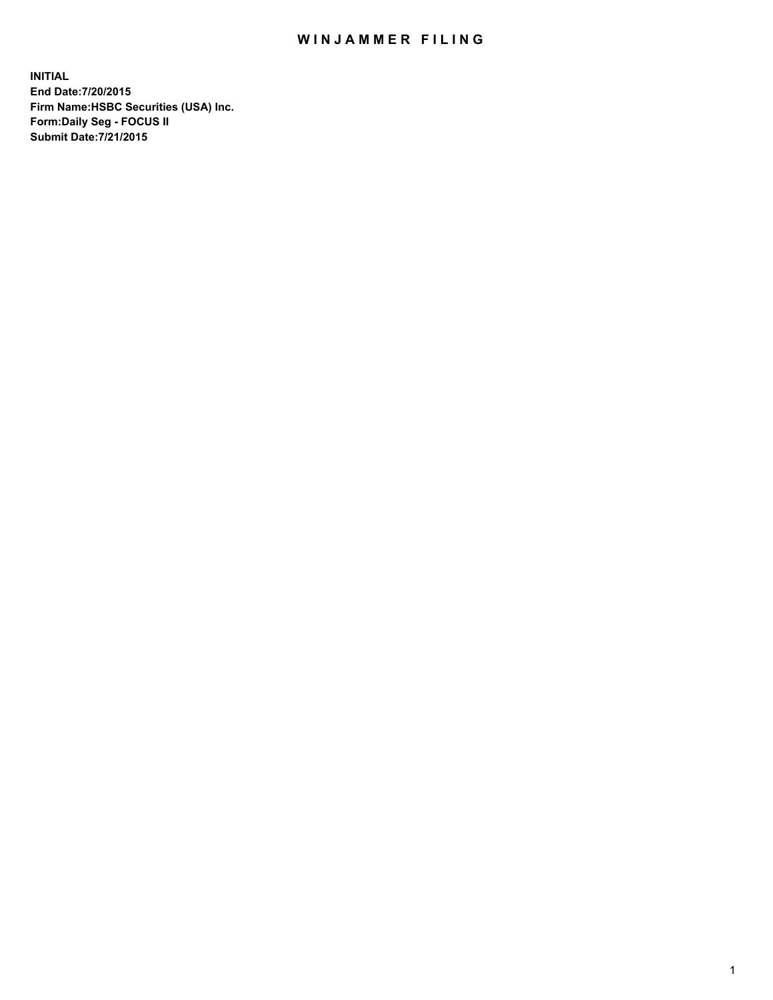## WIN JAMMER FILING

**INITIAL End Date:7/20/2015 Firm Name:HSBC Securities (USA) Inc. Form:Daily Seg - FOCUS II Submit Date:7/21/2015**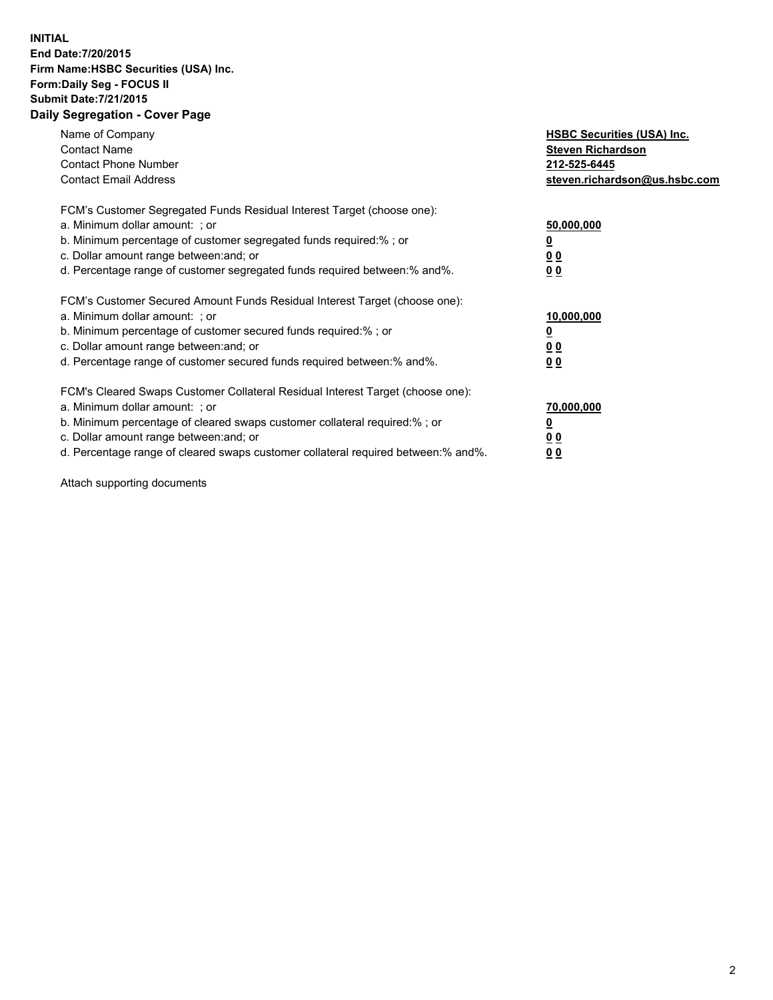## **INITIAL End Date:7/20/2015 Firm Name:HSBC Securities (USA) Inc. Form:Daily Seg - FOCUS II Submit Date:7/21/2015 Daily Segregation - Cover Page**

| Name of Company<br><b>Contact Name</b><br><b>Contact Phone Number</b><br><b>Contact Email Address</b>                                                                                                                                                                                                                         | <b>HSBC Securities (USA) Inc.</b><br><b>Steven Richardson</b><br>212-525-6445<br>steven.richardson@us.hsbc.com |
|-------------------------------------------------------------------------------------------------------------------------------------------------------------------------------------------------------------------------------------------------------------------------------------------------------------------------------|----------------------------------------------------------------------------------------------------------------|
| FCM's Customer Segregated Funds Residual Interest Target (choose one):<br>a. Minimum dollar amount: ; or<br>b. Minimum percentage of customer segregated funds required:%; or<br>c. Dollar amount range between: and; or<br>d. Percentage range of customer segregated funds required between:% and%.                         | 50,000,000<br>00<br>0 <sub>0</sub>                                                                             |
| FCM's Customer Secured Amount Funds Residual Interest Target (choose one):<br>a. Minimum dollar amount: ; or<br>b. Minimum percentage of customer secured funds required:%; or<br>c. Dollar amount range between: and; or<br>d. Percentage range of customer secured funds required between:% and%.                           | 10,000,000<br>0 <sub>0</sub><br>00                                                                             |
| FCM's Cleared Swaps Customer Collateral Residual Interest Target (choose one):<br>a. Minimum dollar amount: ; or<br>b. Minimum percentage of cleared swaps customer collateral required:%; or<br>c. Dollar amount range between: and; or<br>d. Percentage range of cleared swaps customer collateral required between:% and%. | 70,000,000<br><u>00</u><br><u>00</u>                                                                           |

Attach supporting documents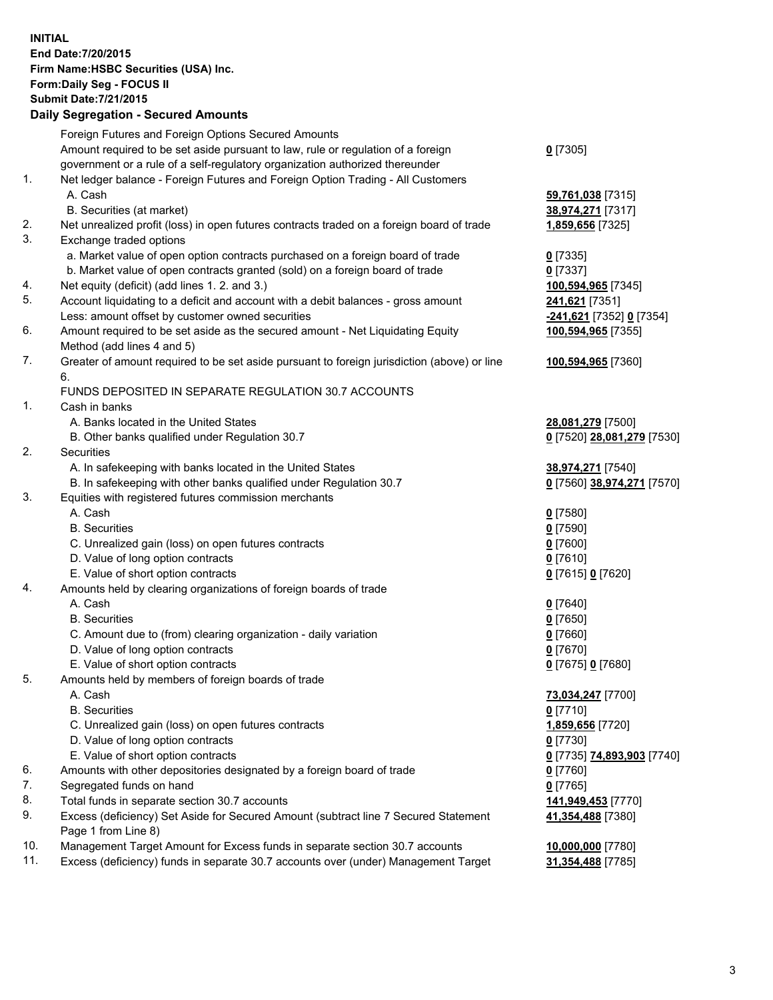**INITIAL End Date:7/20/2015 Firm Name:HSBC Securities (USA) Inc. Form:Daily Seg - FOCUS II Submit Date:7/21/2015 Daily Segregation - Secured Amounts** Foreign Futures and Foreign Options Secured Amounts Amount required to be set aside pursuant to law, rule or regulation of a foreign government or a rule of a self-regulatory organization authorized thereunder 1. Net ledger balance - Foreign Futures and Foreign Option Trading - All Customers A. Cash **59,761,038** [7315] B. Securities (at market) **38,974,271** [7317] 2. Net unrealized profit (loss) in open futures contracts traded on a foreign board of trade **1,859,656** [7325]

- 3. Exchange traded options
	- a. Market value of open option contracts purchased on a foreign board of trade **0** [7335]
	- b. Market value of open contracts granted (sold) on a foreign board of trade **0** [7337]
- 4. Net equity (deficit) (add lines 1. 2. and 3.) **100,594,965** [7345]
- 5. Account liquidating to a deficit and account with a debit balances gross amount **241,621** [7351] Less: amount offset by customer owned securities **-241,621** [7352] **0** [7354]
- 6. Amount required to be set aside as the secured amount Net Liquidating Equity Method (add lines 4 and 5)
- 7. Greater of amount required to be set aside pursuant to foreign jurisdiction (above) or line 6.

## FUNDS DEPOSITED IN SEPARATE REGULATION 30.7 ACCOUNTS

- 1. Cash in banks
	- A. Banks located in the United States **28,081,279** [7500]
	- B. Other banks qualified under Regulation 30.7 **0** [7520] **28,081,279** [7530]
- 2. Securities
	- A. In safekeeping with banks located in the United States **38,974,271** [7540]
	- B. In safekeeping with other banks qualified under Regulation 30.7 **0** [7560] **38,974,271** [7570]
- 3. Equities with registered futures commission merchants
	-
	- B. Securities **0** [7590]
	- C. Unrealized gain (loss) on open futures contracts **0** [7600]
	- D. Value of long option contracts **0** [7610]
	- E. Value of short option contracts **0** [7615] **0** [7620]
- 4. Amounts held by clearing organizations of foreign boards of trade
	- A. Cash **0** [7640]
		-
	- C. Amount due to (from) clearing organization daily variation **0** [7660]
	- D. Value of long option contracts **0** [7670]
	- E. Value of short option contracts **0** [7675] **0** [7680]
- 5. Amounts held by members of foreign boards of trade
	-
	-
	- C. Unrealized gain (loss) on open futures contracts **1,859,656** [7720]
	- D. Value of long option contracts **0** [7730]
	- E. Value of short option contracts **0** [7735] **74,893,903** [7740]
- 6. Amounts with other depositories designated by a foreign board of trade **0** [7760]
- 7. Segregated funds on hand **0** [7765]
- 8. Total funds in separate section 30.7 accounts **141,949,453** [7770]
- 9. Excess (deficiency) Set Aside for Secured Amount (subtract line 7 Secured Statement Page 1 from Line 8)
- 10. Management Target Amount for Excess funds in separate section 30.7 accounts **10,000,000** [7780]
- 11. Excess (deficiency) funds in separate 30.7 accounts over (under) Management Target **31,354,488** [7785]
- **0** [7305]
- 
- **100,594,965** [7355]
- **100,594,965** [7360]
- 
- 
- A. Cash **0** [7580]
- B. Securities **0** [7650]
	-
- A. Cash **73,034,247** [7700] B. Securities **0** [7710]
	- **41,354,488** [7380]
	-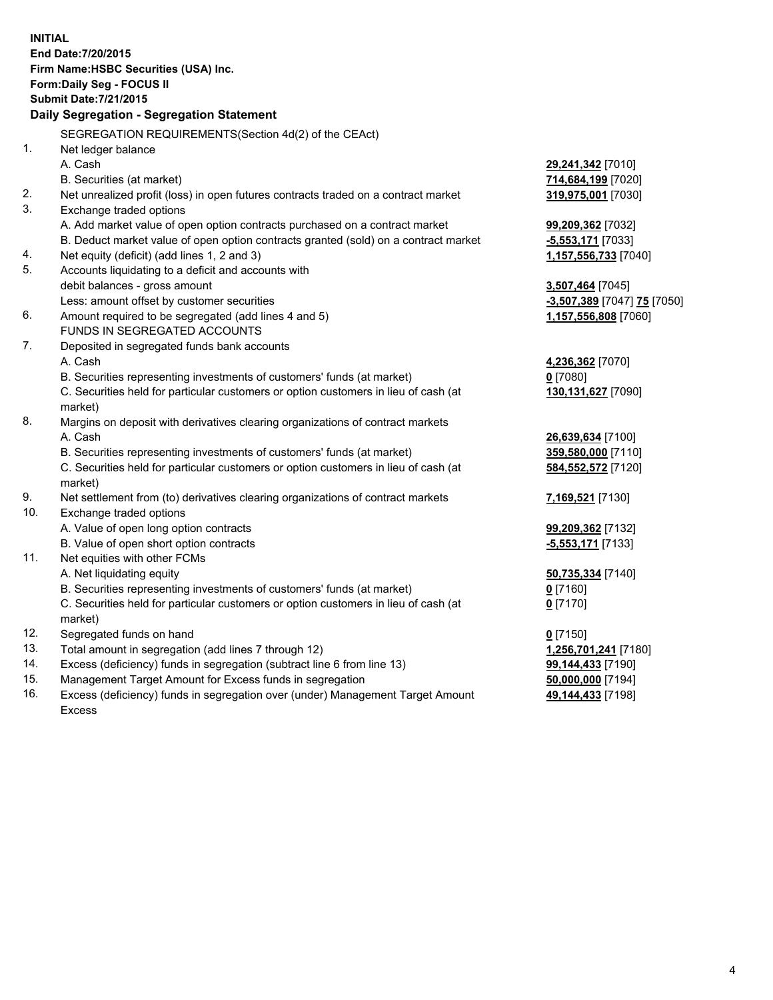|     | <b>INITIAL</b><br>End Date: 7/20/2015<br>Firm Name: HSBC Securities (USA) Inc.<br>Form: Daily Seg - FOCUS II<br><b>Submit Date: 7/21/2015</b><br>Daily Segregation - Segregation Statement<br>SEGREGATION REQUIREMENTS(Section 4d(2) of the CEAct) |                                                  |
|-----|----------------------------------------------------------------------------------------------------------------------------------------------------------------------------------------------------------------------------------------------------|--------------------------------------------------|
| 1.  | Net ledger balance                                                                                                                                                                                                                                 |                                                  |
|     | A. Cash                                                                                                                                                                                                                                            | 29,241,342 [7010]                                |
|     | B. Securities (at market)                                                                                                                                                                                                                          | 714,684,199 [7020]                               |
| 2.  | Net unrealized profit (loss) in open futures contracts traded on a contract market                                                                                                                                                                 | 319,975,001 [7030]                               |
| 3.  | Exchange traded options                                                                                                                                                                                                                            |                                                  |
|     | A. Add market value of open option contracts purchased on a contract market                                                                                                                                                                        | 99,209,362 [7032]                                |
| 4.  | B. Deduct market value of open option contracts granted (sold) on a contract market<br>Net equity (deficit) (add lines 1, 2 and 3)                                                                                                                 | <u>-5,553,171</u> [7033]<br>1,157,556,733 [7040] |
| 5.  | Accounts liquidating to a deficit and accounts with                                                                                                                                                                                                |                                                  |
|     | debit balances - gross amount                                                                                                                                                                                                                      | 3,507,464 [7045]                                 |
|     | Less: amount offset by customer securities                                                                                                                                                                                                         | -3,507,389 [7047] 75 [7050]                      |
| 6.  | Amount required to be segregated (add lines 4 and 5)                                                                                                                                                                                               | 1,157,556,808 [7060]                             |
|     | FUNDS IN SEGREGATED ACCOUNTS                                                                                                                                                                                                                       |                                                  |
| 7.  | Deposited in segregated funds bank accounts                                                                                                                                                                                                        |                                                  |
|     | A. Cash                                                                                                                                                                                                                                            | 4,236,362 [7070]                                 |
|     | B. Securities representing investments of customers' funds (at market)                                                                                                                                                                             | 0 [7080]                                         |
|     | C. Securities held for particular customers or option customers in lieu of cash (at<br>market)                                                                                                                                                     | 130,131,627 [7090]                               |
| 8.  | Margins on deposit with derivatives clearing organizations of contract markets                                                                                                                                                                     |                                                  |
|     | A. Cash                                                                                                                                                                                                                                            | 26,639,634 [7100]                                |
|     | B. Securities representing investments of customers' funds (at market)                                                                                                                                                                             | 359,580,000 [7110]                               |
|     | C. Securities held for particular customers or option customers in lieu of cash (at<br>market)                                                                                                                                                     | 584,552,572 [7120]                               |
| 9.  | Net settlement from (to) derivatives clearing organizations of contract markets                                                                                                                                                                    | 7,169,521 [7130]                                 |
| 10. | Exchange traded options                                                                                                                                                                                                                            |                                                  |
|     | A. Value of open long option contracts                                                                                                                                                                                                             | 99,209,362 [7132]                                |
|     | B. Value of open short option contracts                                                                                                                                                                                                            | -5,553,171 [7133]                                |
| 11. | Net equities with other FCMs                                                                                                                                                                                                                       |                                                  |
|     | A. Net liquidating equity                                                                                                                                                                                                                          | 50,735,334 [7140]                                |
|     | B. Securities representing investments of customers' funds (at market)<br>C. Securities held for particular customers or option customers in lieu of cash (at                                                                                      | 0 [7160]<br>$0$ [7170]                           |
|     | market)                                                                                                                                                                                                                                            |                                                  |
| 12. | Segregated funds on hand                                                                                                                                                                                                                           | $0$ [7150]                                       |
| 13. | Total amount in segregation (add lines 7 through 12)                                                                                                                                                                                               | 1,256,701,241 [7180]                             |
| 14. | Excess (deficiency) funds in segregation (subtract line 6 from line 13)                                                                                                                                                                            | 99,144,433 [7190]                                |
| 15. | Management Target Amount for Excess funds in segregation                                                                                                                                                                                           | 50,000,000 [7194]                                |
| 16. | Excess (deficiency) funds in segregation over (under) Management Target Amount<br><b>Excess</b>                                                                                                                                                    | 49,144,433 [7198]                                |
|     |                                                                                                                                                                                                                                                    |                                                  |